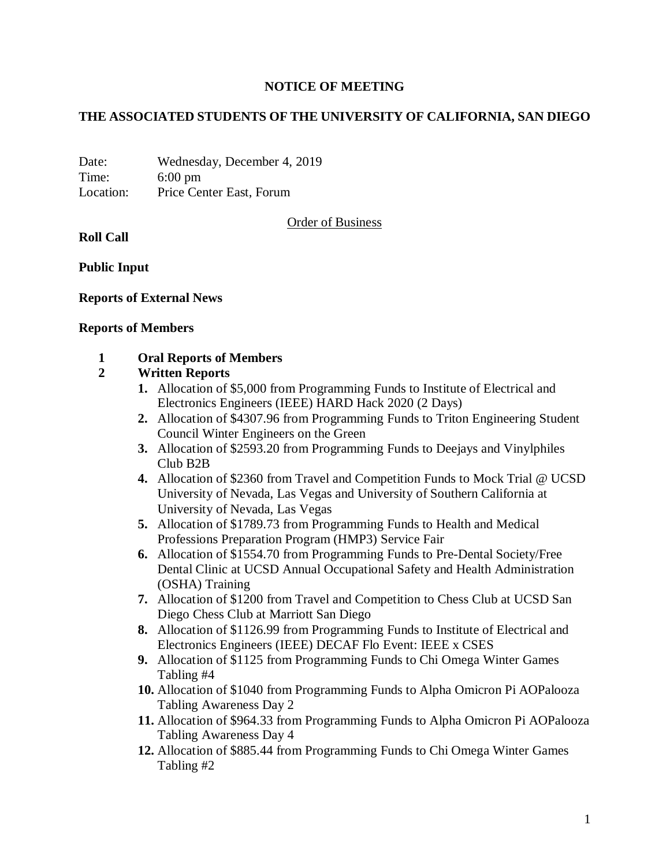### **NOTICE OF MEETING**

### **THE ASSOCIATED STUDENTS OF THE UNIVERSITY OF CALIFORNIA, SAN DIEGO**

Date: Wednesday, December 4, 2019 Time: 6:00 pm Location: Price Center East, Forum

Order of Business

**Roll Call**

**Public Input**

#### **Reports of External News**

#### **Reports of Members**

### **1 Oral Reports of Members**

#### **2 Written Reports**

- **1.** Allocation of \$5,000 from Programming Funds to Institute of Electrical and Electronics Engineers (IEEE) HARD Hack 2020 (2 Days)
- **2.** Allocation of \$4307.96 from Programming Funds to Triton Engineering Student Council Winter Engineers on the Green
- **3.** Allocation of \$2593.20 from Programming Funds to Deejays and Vinylphiles Club B2B
- **4.** Allocation of \$2360 from Travel and Competition Funds to Mock Trial @ UCSD University of Nevada, Las Vegas and University of Southern California at University of Nevada, Las Vegas
- **5.** Allocation of \$1789.73 from Programming Funds to Health and Medical Professions Preparation Program (HMP3) Service Fair
- **6.** Allocation of \$1554.70 from Programming Funds to Pre-Dental Society/Free Dental Clinic at UCSD Annual Occupational Safety and Health Administration (OSHA) Training
- **7.** Allocation of \$1200 from Travel and Competition to Chess Club at UCSD San Diego Chess Club at Marriott San Diego
- **8.** Allocation of \$1126.99 from Programming Funds to Institute of Electrical and Electronics Engineers (IEEE) DECAF Flo Event: IEEE x CSES
- **9.** Allocation of \$1125 from Programming Funds to Chi Omega Winter Games Tabling #4
- **10.** Allocation of \$1040 from Programming Funds to Alpha Omicron Pi AOPalooza Tabling Awareness Day 2
- **11.** Allocation of \$964.33 from Programming Funds to Alpha Omicron Pi AOPalooza Tabling Awareness Day 4
- **12.** Allocation of \$885.44 from Programming Funds to Chi Omega Winter Games Tabling #2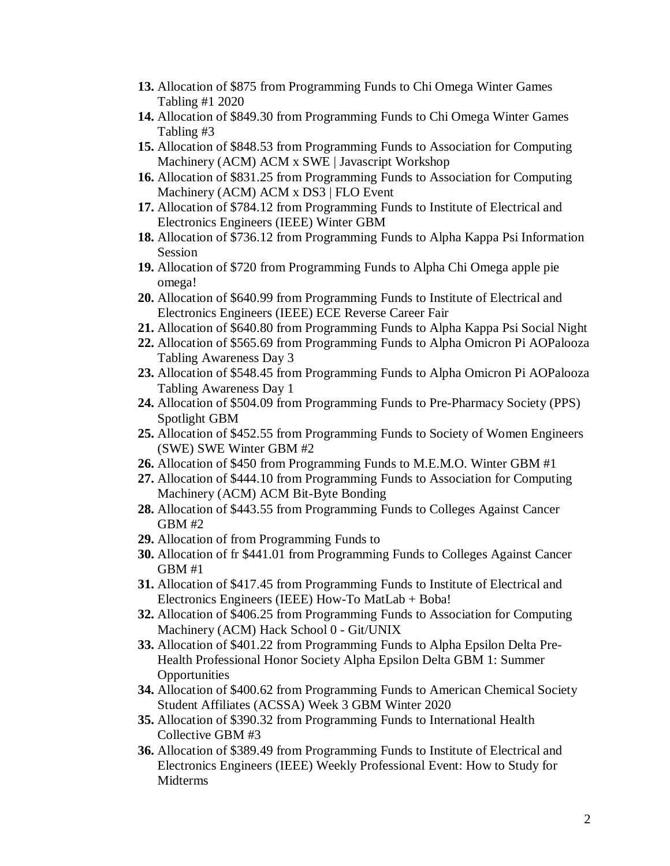- **13.** Allocation of \$875 from Programming Funds to Chi Omega Winter Games Tabling #1 2020
- **14.** Allocation of \$849.30 from Programming Funds to Chi Omega Winter Games Tabling #3
- **15.** Allocation of \$848.53 from Programming Funds to Association for Computing Machinery (ACM) ACM x SWE | Javascript Workshop
- **16.** Allocation of \$831.25 from Programming Funds to Association for Computing Machinery (ACM) ACM x DS3 | FLO Event
- **17.** Allocation of \$784.12 from Programming Funds to Institute of Electrical and Electronics Engineers (IEEE) Winter GBM
- **18.** Allocation of \$736.12 from Programming Funds to Alpha Kappa Psi Information Session
- **19.** Allocation of \$720 from Programming Funds to Alpha Chi Omega apple pie omega!
- **20.** Allocation of \$640.99 from Programming Funds to Institute of Electrical and Electronics Engineers (IEEE) ECE Reverse Career Fair
- **21.** Allocation of \$640.80 from Programming Funds to Alpha Kappa Psi Social Night
- **22.** Allocation of \$565.69 from Programming Funds to Alpha Omicron Pi AOPalooza Tabling Awareness Day 3
- **23.** Allocation of \$548.45 from Programming Funds to Alpha Omicron Pi AOPalooza Tabling Awareness Day 1
- **24.** Allocation of \$504.09 from Programming Funds to Pre-Pharmacy Society (PPS) Spotlight GBM
- **25.** Allocation of \$452.55 from Programming Funds to Society of Women Engineers (SWE) SWE Winter GBM #2
- **26.** Allocation of \$450 from Programming Funds to M.E.M.O. Winter GBM #1
- **27.** Allocation of \$444.10 from Programming Funds to Association for Computing Machinery (ACM) ACM Bit-Byte Bonding
- **28.** Allocation of \$443.55 from Programming Funds to Colleges Against Cancer GBM #2
- **29.** Allocation of from Programming Funds to
- **30.** Allocation of fr \$441.01 from Programming Funds to Colleges Against Cancer GBM #1
- **31.** Allocation of \$417.45 from Programming Funds to Institute of Electrical and Electronics Engineers (IEEE) How-To MatLab + Boba!
- **32.** Allocation of \$406.25 from Programming Funds to Association for Computing Machinery (ACM) Hack School 0 - Git/UNIX
- **33.** Allocation of \$401.22 from Programming Funds to Alpha Epsilon Delta Pre-Health Professional Honor Society Alpha Epsilon Delta GBM 1: Summer **Opportunities**
- **34.** Allocation of \$400.62 from Programming Funds to American Chemical Society Student Affiliates (ACSSA) Week 3 GBM Winter 2020
- **35.** Allocation of \$390.32 from Programming Funds to International Health Collective GBM #3
- **36.** Allocation of \$389.49 from Programming Funds to Institute of Electrical and Electronics Engineers (IEEE) Weekly Professional Event: How to Study for Midterms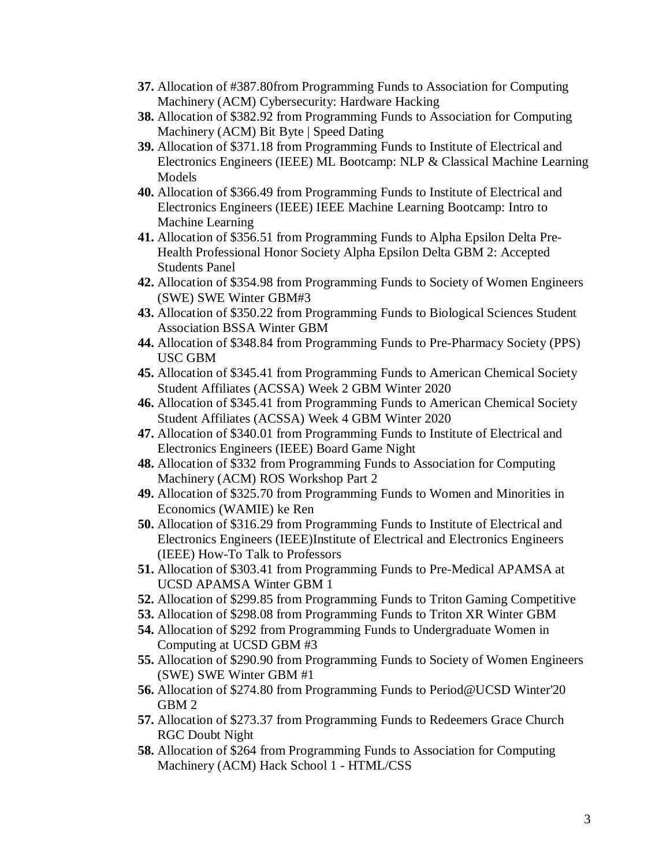- **37.** Allocation of #387.80from Programming Funds to Association for Computing Machinery (ACM) Cybersecurity: Hardware Hacking
- **38.** Allocation of \$382.92 from Programming Funds to Association for Computing Machinery (ACM) Bit Byte | Speed Dating
- **39.** Allocation of \$371.18 from Programming Funds to Institute of Electrical and Electronics Engineers (IEEE) ML Bootcamp: NLP & Classical Machine Learning Models
- **40.** Allocation of \$366.49 from Programming Funds to Institute of Electrical and Electronics Engineers (IEEE) IEEE Machine Learning Bootcamp: Intro to Machine Learning
- **41.** Allocation of \$356.51 from Programming Funds to Alpha Epsilon Delta Pre-Health Professional Honor Society Alpha Epsilon Delta GBM 2: Accepted Students Panel
- **42.** Allocation of \$354.98 from Programming Funds to Society of Women Engineers (SWE) SWE Winter GBM#3
- **43.** Allocation of \$350.22 from Programming Funds to Biological Sciences Student Association BSSA Winter GBM
- **44.** Allocation of \$348.84 from Programming Funds to Pre-Pharmacy Society (PPS) USC GBM
- **45.** Allocation of \$345.41 from Programming Funds to American Chemical Society Student Affiliates (ACSSA) Week 2 GBM Winter 2020
- **46.** Allocation of \$345.41 from Programming Funds to American Chemical Society Student Affiliates (ACSSA) Week 4 GBM Winter 2020
- **47.** Allocation of \$340.01 from Programming Funds to Institute of Electrical and Electronics Engineers (IEEE) Board Game Night
- **48.** Allocation of \$332 from Programming Funds to Association for Computing Machinery (ACM) ROS Workshop Part 2
- **49.** Allocation of \$325.70 from Programming Funds to Women and Minorities in Economics (WAMIE) ke Ren
- **50.** Allocation of \$316.29 from Programming Funds to Institute of Electrical and Electronics Engineers (IEEE)Institute of Electrical and Electronics Engineers (IEEE) How-To Talk to Professors
- **51.** Allocation of \$303.41 from Programming Funds to Pre-Medical APAMSA at UCSD APAMSA Winter GBM 1
- **52.** Allocation of \$299.85 from Programming Funds to Triton Gaming Competitive
- **53.** Allocation of \$298.08 from Programming Funds to Triton XR Winter GBM
- **54.** Allocation of \$292 from Programming Funds to Undergraduate Women in Computing at UCSD GBM #3
- **55.** Allocation of \$290.90 from Programming Funds to Society of Women Engineers (SWE) SWE Winter GBM #1
- **56.** Allocation of \$274.80 from Programming Funds to Period@UCSD Winter'20 GBM 2
- **57.** Allocation of \$273.37 from Programming Funds to Redeemers Grace Church RGC Doubt Night
- **58.** Allocation of \$264 from Programming Funds to Association for Computing Machinery (ACM) Hack School 1 - HTML/CSS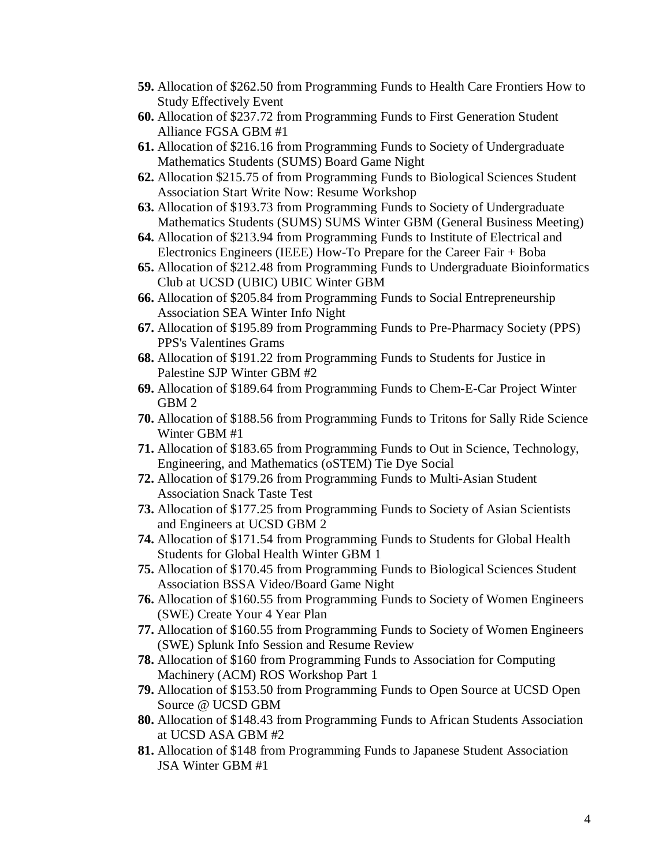- **59.** Allocation of \$262.50 from Programming Funds to Health Care Frontiers How to Study Effectively Event
- **60.** Allocation of \$237.72 from Programming Funds to First Generation Student Alliance FGSA GBM #1
- **61.** Allocation of \$216.16 from Programming Funds to Society of Undergraduate Mathematics Students (SUMS) Board Game Night
- **62.** Allocation \$215.75 of from Programming Funds to Biological Sciences Student Association Start Write Now: Resume Workshop
- **63.** Allocation of \$193.73 from Programming Funds to Society of Undergraduate Mathematics Students (SUMS) SUMS Winter GBM (General Business Meeting)
- **64.** Allocation of \$213.94 from Programming Funds to Institute of Electrical and Electronics Engineers (IEEE) How-To Prepare for the Career Fair + Boba
- **65.** Allocation of \$212.48 from Programming Funds to Undergraduate Bioinformatics Club at UCSD (UBIC) UBIC Winter GBM
- **66.** Allocation of \$205.84 from Programming Funds to Social Entrepreneurship Association SEA Winter Info Night
- **67.** Allocation of \$195.89 from Programming Funds to Pre-Pharmacy Society (PPS) PPS's Valentines Grams
- **68.** Allocation of \$191.22 from Programming Funds to Students for Justice in Palestine SJP Winter GBM #2
- **69.** Allocation of \$189.64 from Programming Funds to Chem-E-Car Project Winter GBM 2
- **70.** Allocation of \$188.56 from Programming Funds to Tritons for Sally Ride Science Winter GBM #1
- **71.** Allocation of \$183.65 from Programming Funds to Out in Science, Technology, Engineering, and Mathematics (oSTEM) Tie Dye Social
- **72.** Allocation of \$179.26 from Programming Funds to Multi-Asian Student Association Snack Taste Test
- **73.** Allocation of \$177.25 from Programming Funds to Society of Asian Scientists and Engineers at UCSD GBM 2
- **74.** Allocation of \$171.54 from Programming Funds to Students for Global Health Students for Global Health Winter GBM 1
- **75.** Allocation of \$170.45 from Programming Funds to Biological Sciences Student Association BSSA Video/Board Game Night
- **76.** Allocation of \$160.55 from Programming Funds to Society of Women Engineers (SWE) Create Your 4 Year Plan
- **77.** Allocation of \$160.55 from Programming Funds to Society of Women Engineers (SWE) Splunk Info Session and Resume Review
- **78.** Allocation of \$160 from Programming Funds to Association for Computing Machinery (ACM) ROS Workshop Part 1
- **79.** Allocation of \$153.50 from Programming Funds to Open Source at UCSD Open Source @ UCSD GBM
- **80.** Allocation of \$148.43 from Programming Funds to African Students Association at UCSD ASA GBM #2
- **81.** Allocation of \$148 from Programming Funds to Japanese Student Association JSA Winter GBM #1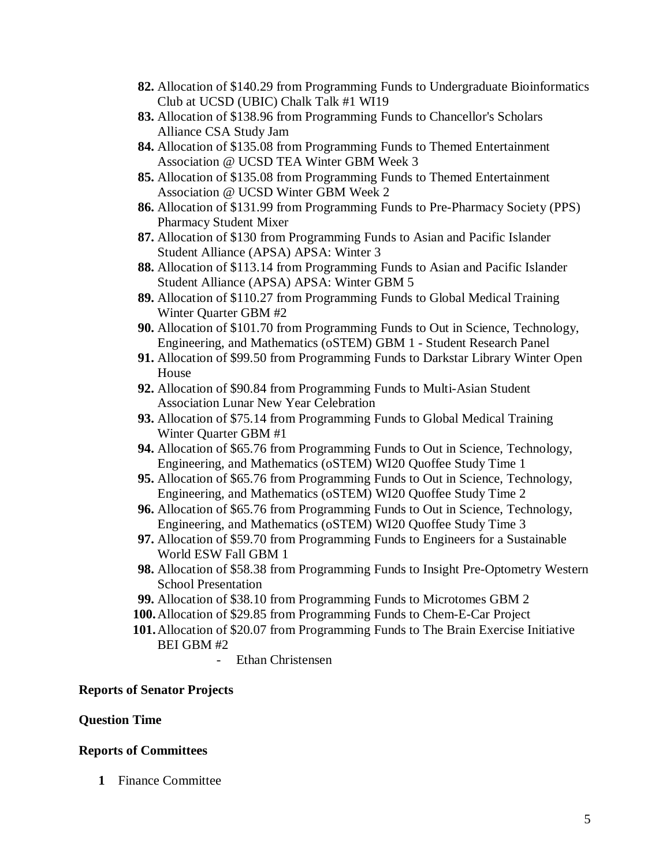- **82.** Allocation of \$140.29 from Programming Funds to Undergraduate Bioinformatics Club at UCSD (UBIC) Chalk Talk #1 WI19
- **83.** Allocation of \$138.96 from Programming Funds to Chancellor's Scholars Alliance CSA Study Jam
- **84.** Allocation of \$135.08 from Programming Funds to Themed Entertainment Association @ UCSD TEA Winter GBM Week 3
- **85.** Allocation of \$135.08 from Programming Funds to Themed Entertainment Association @ UCSD Winter GBM Week 2
- **86.** Allocation of \$131.99 from Programming Funds to Pre-Pharmacy Society (PPS) Pharmacy Student Mixer
- **87.** Allocation of \$130 from Programming Funds to Asian and Pacific Islander Student Alliance (APSA) APSA: Winter 3
- **88.** Allocation of \$113.14 from Programming Funds to Asian and Pacific Islander Student Alliance (APSA) APSA: Winter GBM 5
- **89.** Allocation of \$110.27 from Programming Funds to Global Medical Training Winter Quarter GBM #2
- **90.** Allocation of \$101.70 from Programming Funds to Out in Science, Technology, Engineering, and Mathematics (oSTEM) GBM 1 - Student Research Panel
- **91.** Allocation of \$99.50 from Programming Funds to Darkstar Library Winter Open House
- **92.** Allocation of \$90.84 from Programming Funds to Multi-Asian Student Association Lunar New Year Celebration
- **93.** Allocation of \$75.14 from Programming Funds to Global Medical Training Winter Quarter GBM #1
- **94.** Allocation of \$65.76 from Programming Funds to Out in Science, Technology, Engineering, and Mathematics (oSTEM) WI20 Quoffee Study Time 1
- **95.** Allocation of \$65.76 from Programming Funds to Out in Science, Technology, Engineering, and Mathematics (oSTEM) WI20 Quoffee Study Time 2
- **96.** Allocation of \$65.76 from Programming Funds to Out in Science, Technology, Engineering, and Mathematics (oSTEM) WI20 Quoffee Study Time 3
- **97.** Allocation of \$59.70 from Programming Funds to Engineers for a Sustainable World ESW Fall GBM 1
- **98.** Allocation of \$58.38 from Programming Funds to Insight Pre-Optometry Western School Presentation
- **99.** Allocation of \$38.10 from Programming Funds to Microtomes GBM 2
- **100.**Allocation of \$29.85 from Programming Funds to Chem-E-Car Project
- **101.**Allocation of \$20.07 from Programming Funds to The Brain Exercise Initiative BEI GBM #2
	- Ethan Christensen

# **Reports of Senator Projects**

#### **Question Time**

#### **Reports of Committees**

**1** Finance Committee